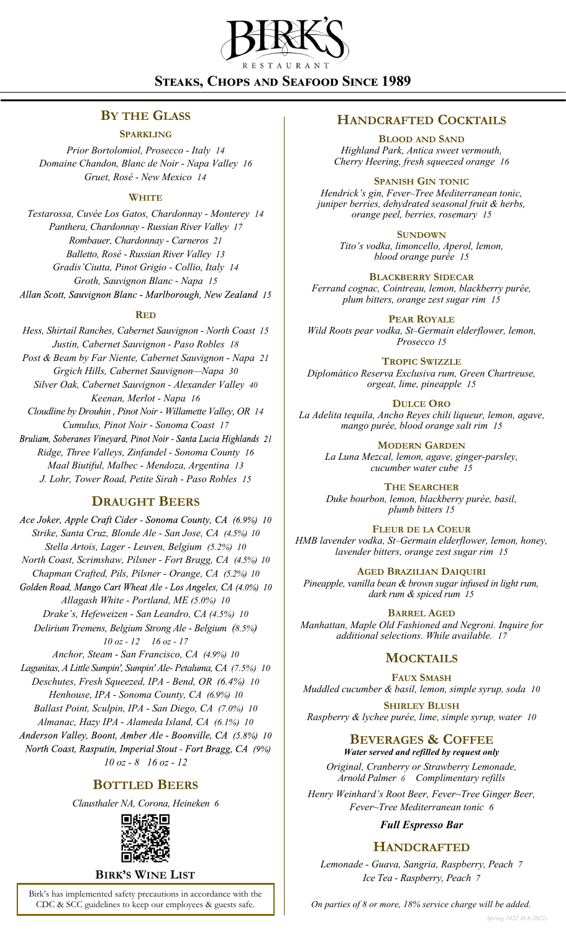

# **Steaks, Chops and Seafood Since 1989**

## **BY THE GLASS**

#### **SPARKLING**

*Prior Bortolomiol, Prosecco - Italy 14 Domaine Chandon, Blanc de Noir - Napa Valley 16 Gruet, Rosé - New Mexico 14*

### **WHITE**

*Testarossa, Cuvée Los Gatos, Chardonnay - Monterey 14 Panthera, Chardonnay - Russian River Valley 17 Rombauer, Chardonnay - Carneros 21 Balletto, Rosé - Russian River Valley 13 Gradis'Ciutta, Pinot Grigio - Collio, Italy 14 Groth, Sauvignon Blanc - Napa 15* Allan Scott, Sauvignon Blanc - Marlborough, New Zealand 15

#### **RED**

*Hess, Shirtail Ranches, Cabernet Sauvignon - North Coast 15 Justin, Cabernet Sauvignon - Paso Robles 18 Post & Beam by Far Niente, Cabernet Sauvignon - Napa 21 Grgich Hills, Cabernet Sauvignon—Napa 30 Silver Oak, Cabernet Sauvignon - Alexander Valley 40 Keenan, Merlot - Napa 16 Cloudline by Drouhin , Pinot Noir - Willamette Valley, OR 14 Cumulus, Pinot Noir - Sonoma Coast 17* Bruliam, Soberanes Vineyard, Pinot Noir - Santa Lucia Highlands 21 *Ridge, Three Valleys, Zinfandel - Sonoma County 16 Maal Biutiful, Malbec - Mendoza, Argentina 13 J. Lohr, Tower Road, Petite Sirah - Paso Robles 15*

## **DRAUGHT BEERS**

Ace Joker, Apple Craft Cider - Sonoma County, CA (6.9%) 10 *Strike, Santa Cruz, Blonde Ale - San Jose, CA (4.5%) 10 Stella Artois, Lager - Leuven, Belgium (5.2%) 10 North Coast, Scrimshaw, Pilsner - Fort Bragg, CA (4.5%) 10 Chapman Crafted, Pils, Pilsner - Orange, CA (5.2%) 10* Golden Road, Mango Cart Wheat Ale - Los Angeles, CA (4.0%) 10 *Allagash White - Portland, ME (5.0%) 10 Drake's, Hefeweizen - San Leandro, CA (4.5%) 10 Delirium Tremens, Belgium Strong Ale - Belgium (8.5%) 10 oz - 12 16 oz - 17 Anchor, Steam - San Francisco, CA (4.9%) 10 Lagunitas, A Little Sumpin', Sumpin' Ale- Petaluma, CA (7.5%) 10 Deschutes, Fresh Squeezed, IPA - Bend, OR (6.4%) 10 Henhouse, IPA - Sonoma County, CA (6.9%) 10 Ballast Point, Sculpin, IPA - San Diego, CA (7.0%) 10 Almanac, Hazy IPA - Alameda Island, CA (6.1%) 10* Anderson Valley, Boont, Amber Ale - Boonville, CA (5.8%) 10 North Coast, Rasputin, Imperial Stout - Fort Bragg, CA (9%)

*10 oz - 8 16 oz - 12*

## **BOTTLED BEERS**

*Clausthaler NA, Corona, Heineken 6*



### **BIRK'S WINE LIST**

Birk's has implemented safety precautions in accordance with the CDC & SCC guidelines to keep our employees & guests safe.

## **HANDCRAFTED COCKTAILS**

**BLOOD AND SAND** *Highland Park, Antica sweet vermouth, Cherry Heering, fresh squeezed orange 16*

**SPANISH GIN TONIC**

*Hendrick's gin, Fever~Tree Mediterranean tonic, juniper berries, dehydrated seasonal fruit & herbs, orange peel, berries, rosemary 15*

**SUNDOWN**

*Tito's vodka, limoncello, Aperol, lemon, blood orange purée 15*

**BLACKBERRY SIDECAR**

*Ferrand cognac, Cointreau, lemon, blackberry purée, plum bitters, orange zest sugar rim 15*

**PEAR ROYALE** *Wild Roots pear vodka, St~Germain elderflower, lemon, Prosecco 15*

**TROPIC SWIZZLE**

*Diplomático Reserva Exclusiva rum, Green Chartreuse, orgeat, lime, pineapple 15*

**DULCE ORO** *La Adelita tequila, Ancho Reyes chili liqueur, lemon, agave, mango purée, blood orange salt rim 15*

> **MODERN GARDEN** *La Luna Mezcal, lemon, agave, ginger-parsley, cucumber water cube 15*

> **THE SEARCHER** *Duke bourbon, lemon, blackberry purée, basil, plumb bitters 15*

**FLEUR DE LA COEUR** *HMB lavender vodka, St~Germain elderflower, lemon, honey, lavender bitters, orange zest sugar rim 15*

**AGED BRAZILIAN DAIQUIRI** *Pineapple, vanilla bean & brown sugar infused in light rum, dark rum & spiced rum 15*

**BARREL AGED** *Manhattan, Maple Old Fashioned and Negroni. Inquire for additional selections. While available. 17*

## **MOCKTAILS**

**FAUX SMASH** *Muddled cucumber & basil, lemon, simple syrup, soda 10*

**SHIRLEY BLUSH** *Raspberry & lychee purée, lime, simple syrup, water 10*

## **BEVERAGES & COFFEE**

*Water served and refilled by request only Original, Cranberry or Strawberry Lemonade, Arnold Palmer 6 Complimentary refills*

*Henry Weinhard's Root Beer, Fever~Tree Ginger Beer, Fever~Tree Mediterranean tonic 6*

*Full Espresso Bar*

## **HANDCRAFTED**

*Lemonade - Guava, Sangria, Raspberry, Peach 7 Ice Tea - Raspberry, Peach 7*

*On parties of 8 or more, 18% service charge will be added.*